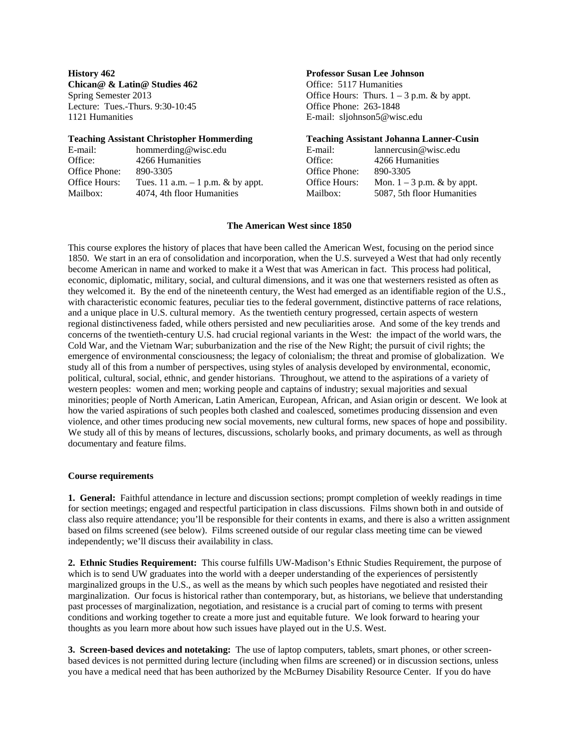**Chican** & Latin Studies 462 **Chican** Office: 5117 Humanities Lecture: Tues.-Thurs. 9:30-10:45 Office Phone: 263-1848 1121 Humanities E-mail: sljohnson5@wisc.edu

#### **Teaching Assistant Christopher Hommerding****Teaching Assistant Johanna Lanner-Cusin**

| E-mail:       | hommerding@wisc.edu                | E-mail:       | $l$ annercusin@wisc.edu      |
|---------------|------------------------------------|---------------|------------------------------|
| Office:       | 4266 Humanities                    | Office:       | 4266 Humanities              |
| Office Phone: | 890-3305                           | Office Phone: | 890-3305                     |
| Office Hours: | Tues. 11 a.m. $-1$ p.m. & by appt. | Office Hours: | Mon. $1 - 3$ p.m. & by appt. |
| Mailbox:      | 4074, 4th floor Humanities         | Mailbox:      | 5087, 5th floor Humanities   |

# **History 462 Professor Susan Lee Johnson**

Spring Semester 2013 **Office Hours:** Thurs.  $1 - 3$  p.m. & by appt.

| l-mail:              | lannercusin@wisc.edu         |
|----------------------|------------------------------|
| )ffice:              | 4266 Humanities              |
| <b>Office Phone:</b> | 890-3305                     |
| )ffice Hours:        | Mon. $1 - 3$ p.m. & by appt. |
| /ailbox:             | 5087, 5th floor Humanities   |
|                      |                              |

# **The American West since 1850**

This course explores the history of places that have been called the American West, focusing on the period since 1850. We start in an era of consolidation and incorporation, when the U.S. surveyed a West that had only recently become American in name and worked to make it a West that was American in fact. This process had political, economic, diplomatic, military, social, and cultural dimensions, and it was one that westerners resisted as often as they welcomed it. By the end of the nineteenth century, the West had emerged as an identifiable region of the U.S., with characteristic economic features, peculiar ties to the federal government, distinctive patterns of race relations, and a unique place in U.S. cultural memory. As the twentieth century progressed, certain aspects of western regional distinctiveness faded, while others persisted and new peculiarities arose. And some of the key trends and concerns of the twentieth-century U.S. had crucial regional variants in the West: the impact of the world wars, the Cold War, and the Vietnam War; suburbanization and the rise of the New Right; the pursuit of civil rights; the emergence of environmental consciousness; the legacy of colonialism; the threat and promise of globalization. We study all of this from a number of perspectives, using styles of analysis developed by environmental, economic, political, cultural, social, ethnic, and gender historians. Throughout, we attend to the aspirations of a variety of western peoples: women and men; working people and captains of industry; sexual majorities and sexual minorities; people of North American, Latin American, European, African, and Asian origin or descent. We look at how the varied aspirations of such peoples both clashed and coalesced, sometimes producing dissension and even violence, and other times producing new social movements, new cultural forms, new spaces of hope and possibility. We study all of this by means of lectures, discussions, scholarly books, and primary documents, as well as through documentary and feature films.

### **Course requirements**

**1. General:** Faithful attendance in lecture and discussion sections; prompt completion of weekly readings in time for section meetings; engaged and respectful participation in class discussions. Films shown both in and outside of class also require attendance; you'll be responsible for their contents in exams, and there is also a written assignment based on films screened (see below). Films screened outside of our regular class meeting time can be viewed independently; we'll discuss their availability in class.

**2. Ethnic Studies Requirement:** This course fulfills UW-Madison's Ethnic Studies Requirement, the purpose of which is to send UW graduates into the world with a deeper understanding of the experiences of persistently marginalized groups in the U.S., as well as the means by which such peoples have negotiated and resisted their marginalization. Our focus is historical rather than contemporary, but, as historians, we believe that understanding past processes of marginalization, negotiation, and resistance is a crucial part of coming to terms with present conditions and working together to create a more just and equitable future. We look forward to hearing your thoughts as you learn more about how such issues have played out in the U.S. West.

**3. Screen-based devices and notetaking:** The use of laptop computers, tablets, smart phones, or other screenbased devices is not permitted during lecture (including when films are screened) or in discussion sections, unless you have a medical need that has been authorized by the McBurney Disability Resource Center. If you do have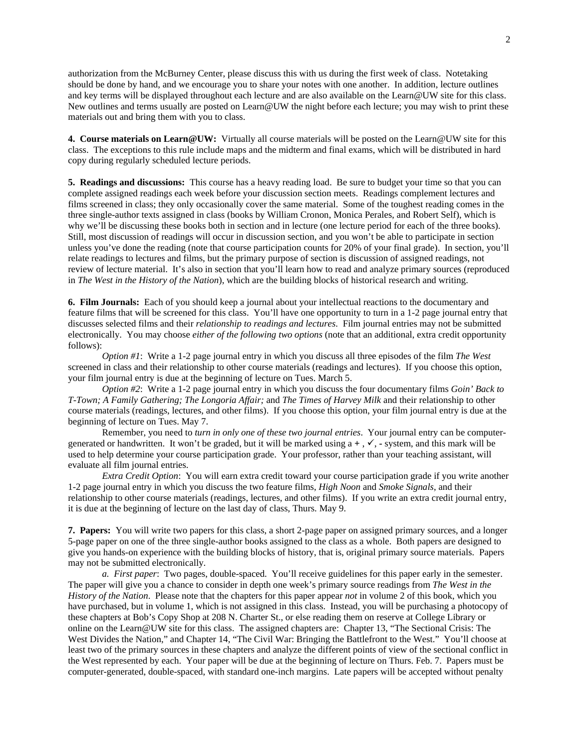authorization from the McBurney Center, please discuss this with us during the first week of class. Notetaking should be done by hand, and we encourage you to share your notes with one another. In addition, lecture outlines and key terms will be displayed throughout each lecture and are also available on the Learn@UW site for this class. New outlines and terms usually are posted on Learn@UW the night before each lecture; you may wish to print these materials out and bring them with you to class.

**4. Course materials on Learn@UW:** Virtually all course materials will be posted on the Learn@UW site for this class. The exceptions to this rule include maps and the midterm and final exams, which will be distributed in hard copy during regularly scheduled lecture periods.

**5. Readings and discussions:** This course has a heavy reading load. Be sure to budget your time so that you can complete assigned readings each week before your discussion section meets. Readings complement lectures and films screened in class; they only occasionally cover the same material. Some of the toughest reading comes in the three single-author texts assigned in class (books by William Cronon, Monica Perales, and Robert Self), which is why we'll be discussing these books both in section and in lecture (one lecture period for each of the three books). Still, most discussion of readings will occur in discussion section, and you won't be able to participate in section unless you've done the reading (note that course participation counts for 20% of your final grade). In section, you'll relate readings to lectures and films, but the primary purpose of section is discussion of assigned readings, not review of lecture material. It's also in section that you'll learn how to read and analyze primary sources (reproduced in *The West in the History of the Nation*), which are the building blocks of historical research and writing.

**6. Film Journals:** Each of you should keep a journal about your intellectual reactions to the documentary and feature films that will be screened for this class. You'll have one opportunity to turn in a 1-2 page journal entry that discusses selected films and their *relationship to readings and lectures*. Film journal entries may not be submitted electronically. You may choose *either of the following two options* (note that an additional, extra credit opportunity follows):

*Option #1*: Write a 1-2 page journal entry in which you discuss all three episodes of the film *The West* screened in class and their relationship to other course materials (readings and lectures). If you choose this option, your film journal entry is due at the beginning of lecture on Tues. March 5.

*Option #2*: Write a 1-2 page journal entry in which you discuss the four documentary films *Goin' Back to T-Town; A Family Gathering; The Longoria Affair;* and *The Times of Harvey Milk* and their relationship to other course materials (readings, lectures, and other films). If you choose this option, your film journal entry is due at the beginning of lecture on Tues. May 7.

Remember, you need to *turn in only one of these two journal entries*. Your journal entry can be computergenerated or handwritten. It won't be graded, but it will be marked using  $a +$ ,  $\checkmark$ , - system, and this mark will be used to help determine your course participation grade. Your professor, rather than your teaching assistant, will evaluate all film journal entries.

*Extra Credit Option*: You will earn extra credit toward your course participation grade if you write another 1-2 page journal entry in which you discuss the two feature films, *High Noon* and *Smoke Signals*, and their relationship to other course materials (readings, lectures, and other films). If you write an extra credit journal entry, it is due at the beginning of lecture on the last day of class, Thurs. May 9.

**7. Papers:** You will write two papers for this class, a short 2-page paper on assigned primary sources, and a longer 5-page paper on one of the three single-author books assigned to the class as a whole. Both papers are designed to give you hands-on experience with the building blocks of history, that is, original primary source materials. Papers may not be submitted electronically.

*a. First paper*: Two pages, double-spaced. You'll receive guidelines for this paper early in the semester. The paper will give you a chance to consider in depth one week's primary source readings from *The West in the History of the Nation*. Please note that the chapters for this paper appear *not* in volume 2 of this book, which you have purchased, but in volume 1, which is not assigned in this class. Instead, you will be purchasing a photocopy of these chapters at Bob's Copy Shop at 208 N. Charter St., or else reading them on reserve at College Library or online on the Learn@UW site for this class. The assigned chapters are: Chapter 13, "The Sectional Crisis: The West Divides the Nation," and Chapter 14, "The Civil War: Bringing the Battlefront to the West." You'll choose at least two of the primary sources in these chapters and analyze the different points of view of the sectional conflict in the West represented by each. Your paper will be due at the beginning of lecture on Thurs. Feb. 7.Papers must be computer-generated, double-spaced, with standard one-inch margins. Late papers will be accepted without penalty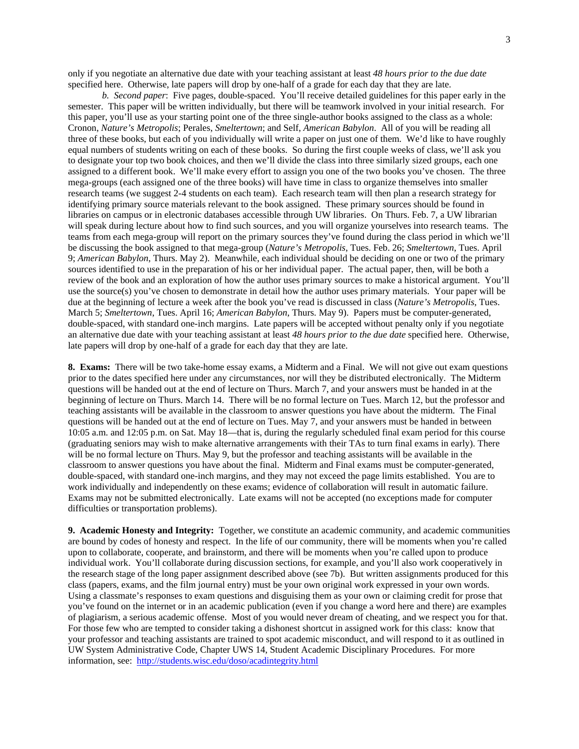only if you negotiate an alternative due date with your teaching assistant at least *48 hours prior to the due date* specified here. Otherwise, late papers will drop by one-half of a grade for each day that they are late.

*b. Second paper*: Five pages, double-spaced. You'll receive detailed guidelines for this paper early in the semester. This paper will be written individually, but there will be teamwork involved in your initial research. For this paper, you'll use as your starting point one of the three single-author books assigned to the class as a whole: Cronon, *Nature's Metropolis*; Perales, *Smeltertown*; and Self, *American Babylon*. All of you will be reading all three of these books, but each of you individually will write a paper on just one of them. We'd like to have roughly equal numbers of students writing on each of these books. So during the first couple weeks of class, we'll ask you to designate your top two book choices, and then we'll divide the class into three similarly sized groups, each one assigned to a different book. We'll make every effort to assign you one of the two books you've chosen. The three mega-groups (each assigned one of the three books) will have time in class to organize themselves into smaller research teams (we suggest 2-4 students on each team). Each research team will then plan a research strategy for identifying primary source materials relevant to the book assigned. These primary sources should be found in libraries on campus or in electronic databases accessible through UW libraries. On Thurs. Feb. 7, a UW librarian will speak during lecture about how to find such sources, and you will organize yourselves into research teams. The teams from each mega-group will report on the primary sources they've found during the class period in which we'll be discussing the book assigned to that mega-group (*Nature's Metropolis*, Tues. Feb. 26; *Smeltertown*, Tues. April 9; *American Babylon*, Thurs. May 2). Meanwhile, each individual should be deciding on one or two of the primary sources identified to use in the preparation of his or her individual paper. The actual paper, then, will be both a review of the book and an exploration of how the author uses primary sources to make a historical argument. You'll use the source(s) you've chosen to demonstrate in detail how the author uses primary materials. Your paper will be due at the beginning of lecture a week after the book you've read is discussed in class (*Nature's Metropolis*, Tues. March 5; *Smeltertown*, Tues. April 16; *American Babylon*, Thurs. May 9). Papers must be computer-generated, double-spaced, with standard one-inch margins. Late papers will be accepted without penalty only if you negotiate an alternative due date with your teaching assistant at least *48 hours prior to the due date* specified here. Otherwise, late papers will drop by one-half of a grade for each day that they are late.

**8. Exams:** There will be two take-home essay exams, a Midterm and a Final. We will not give out exam questions prior to the dates specified here under any circumstances, nor will they be distributed electronically. The Midterm questions will be handed out at the end of lecture on Thurs. March 7, and your answers must be handed in at the beginning of lecture on Thurs. March 14. There will be no formal lecture on Tues. March 12, but the professor and teaching assistants will be available in the classroom to answer questions you have about the midterm. The Final questions will be handed out at the end of lecture on Tues. May 7, and your answers must be handed in between 10:05 a.m. and 12:05 p.m. on Sat. May 18—that is, during the regularly scheduled final exam period for this course (graduating seniors may wish to make alternative arrangements with their TAs to turn final exams in early). There will be no formal lecture on Thurs. May 9, but the professor and teaching assistants will be available in the classroom to answer questions you have about the final. Midterm and Final exams must be computer-generated, double-spaced, with standard one-inch margins, and they may not exceed the page limits established. You are to work individually and independently on these exams; evidence of collaboration will result in automatic failure. Exams may not be submitted electronically. Late exams will not be accepted (no exceptions made for computer difficulties or transportation problems).

**9. Academic Honesty and Integrity:** Together, we constitute an academic community, and academic communities are bound by codes of honesty and respect. In the life of our community, there will be moments when you're called upon to collaborate, cooperate, and brainstorm, and there will be moments when you're called upon to produce individual work. You'll collaborate during discussion sections, for example, and you'll also work cooperatively in the research stage of the long paper assignment described above (see 7b). But written assignments produced for this class (papers, exams, and the film journal entry) must be your own original work expressed in your own words. Using a classmate's responses to exam questions and disguising them as your own or claiming credit for prose that you've found on the internet or in an academic publication (even if you change a word here and there) are examples of plagiarism, a serious academic offense. Most of you would never dream of cheating, and we respect you for that. For those few who are tempted to consider taking a dishonest shortcut in assigned work for this class: know that your professor and teaching assistants are trained to spot academic misconduct, and will respond to it as outlined in UW System Administrative Code, Chapter UWS 14, Student Academic Disciplinary Procedures. For more information, see: http://students.wisc.edu/doso/acadintegrity.html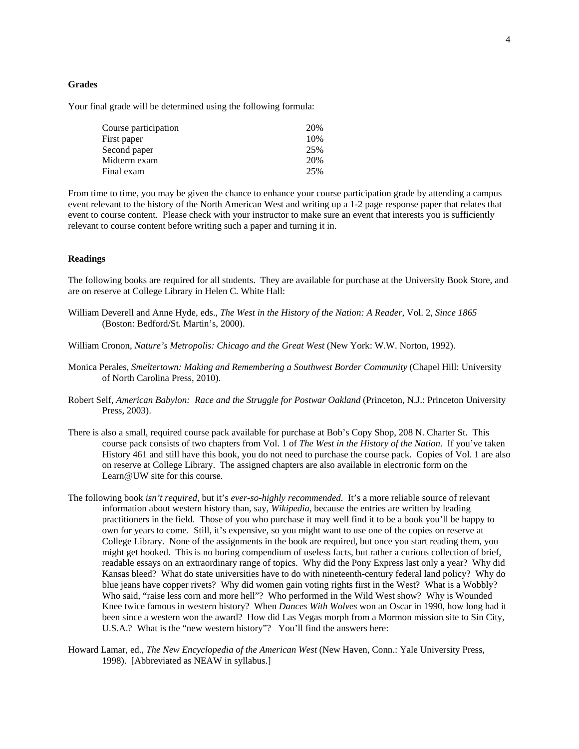#### **Grades**

Your final grade will be determined using the following formula:

| Course participation | 20% |
|----------------------|-----|
| First paper          | 10% |
| Second paper         | 25% |
| Midterm exam         | 20% |
| Final exam           | 25% |

From time to time, you may be given the chance to enhance your course participation grade by attending a campus event relevant to the history of the North American West and writing up a 1-2 page response paper that relates that event to course content. Please check with your instructor to make sure an event that interests you is sufficiently relevant to course content before writing such a paper and turning it in.

## **Readings**

The following books are required for all students. They are available for purchase at the University Book Store, and are on reserve at College Library in Helen C. White Hall:

- William Deverell and Anne Hyde, eds., *The West in the History of the Nation: A Reader*, Vol. 2, *Since 1865* (Boston: Bedford/St. Martin's, 2000).
- William Cronon, *Nature's Metropolis: Chicago and the Great West* (New York: W.W. Norton, 1992).
- Monica Perales, *Smeltertown: Making and Remembering a Southwest Border Community* (Chapel Hill: University of North Carolina Press, 2010).
- Robert Self, *American Babylon: Race and the Struggle for Postwar Oakland* (Princeton, N.J.: Princeton University Press, 2003).
- There is also a small, required course pack available for purchase at Bob's Copy Shop, 208 N. Charter St. This course pack consists of two chapters from Vol. 1 of *The West in the History of the Nation*. If you've taken History 461 and still have this book, you do not need to purchase the course pack. Copies of Vol. 1 are also on reserve at College Library. The assigned chapters are also available in electronic form on the Learn@UW site for this course.
- The following book *isn't required*, but it's *ever-so-highly recommended*. It's a more reliable source of relevant information about western history than, say, *Wikipedia*, because the entries are written by leading practitioners in the field. Those of you who purchase it may well find it to be a book you'll be happy to own for years to come. Still, it's expensive, so you might want to use one of the copies on reserve at College Library. None of the assignments in the book are required, but once you start reading them, you might get hooked. This is no boring compendium of useless facts, but rather a curious collection of brief, readable essays on an extraordinary range of topics. Why did the Pony Express last only a year? Why did Kansas bleed? What do state universities have to do with nineteenth-century federal land policy? Why do blue jeans have copper rivets? Why did women gain voting rights first in the West? What is a Wobbly? Who said, "raise less corn and more hell"? Who performed in the Wild West show? Why is Wounded Knee twice famous in western history? When *Dances With Wolves* won an Oscar in 1990, how long had it been since a western won the award? How did Las Vegas morph from a Mormon mission site to Sin City, U.S.A.? What is the "new western history"? You'll find the answers here:
- Howard Lamar, ed., *The New Encyclopedia of the American West* (New Haven, Conn.: Yale University Press, 1998). [Abbreviated as NEAW in syllabus.]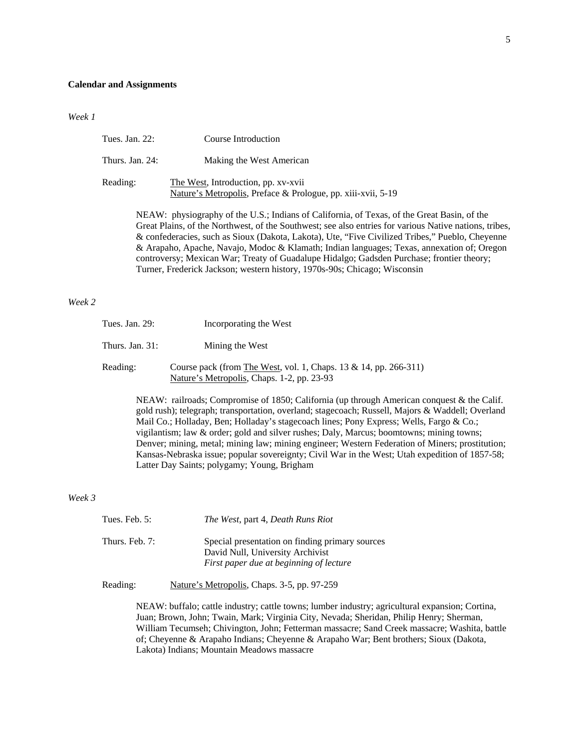#### **Calendar and Assignments**

*Week 1*

| Tues. Jan. 22:  | Course Introduction                                                                                 |
|-----------------|-----------------------------------------------------------------------------------------------------|
| Thurs. Jan. 24: | Making the West American                                                                            |
| Reading:        | The West, Introduction, pp. xv-xvii<br>Nature's Metropolis, Preface & Prologue, pp. xiii-xvii, 5-19 |

NEAW: physiography of the U.S.; Indians of California, of Texas, of the Great Basin, of the Great Plains, of the Northwest, of the Southwest; see also entries for various Native nations, tribes, & confederacies, such as Sioux (Dakota, Lakota), Ute, "Five Civilized Tribes," Pueblo, Cheyenne & Arapaho, Apache, Navajo, Modoc & Klamath; Indian languages; Texas, annexation of; Oregon controversy; Mexican War; Treaty of Guadalupe Hidalgo; Gadsden Purchase; frontier theory; Turner, Frederick Jackson; western history, 1970s-90s; Chicago; Wisconsin

# *Week 2*

| Tues. Jan. 29:     | Incorporating the West                                                                                         |  |
|--------------------|----------------------------------------------------------------------------------------------------------------|--|
| Thurs. Jan. $31$ : | Mining the West                                                                                                |  |
| Reading:           | Course pack (from The West, vol. 1, Chaps. 13 & 14, pp. 266-311)<br>Nature's Metropolis, Chaps. 1-2, pp. 23-93 |  |

NEAW: railroads; Compromise of 1850; California (up through American conquest & the Calif. gold rush); telegraph; transportation, overland; stagecoach; Russell, Majors & Waddell; Overland Mail Co.; Holladay, Ben; Holladay's stagecoach lines; Pony Express; Wells, Fargo & Co.; vigilantism; law & order; gold and silver rushes; Daly, Marcus; boomtowns; mining towns; Denver; mining, metal; mining law; mining engineer; Western Federation of Miners; prostitution; Kansas-Nebraska issue; popular sovereignty; Civil War in the West; Utah expedition of 1857-58; Latter Day Saints; polygamy; Young, Brigham

*Week 3*

| Tues. Feb. $5:$  | The West, part 4, Death Runs Riot                                                                                              |
|------------------|--------------------------------------------------------------------------------------------------------------------------------|
| Thurs. Feb. $7:$ | Special presentation on finding primary sources<br>David Null, University Archivist<br>First paper due at beginning of lecture |

Reading: Nature's Metropolis, Chaps. 3-5, pp. 97-259

NEAW: buffalo; cattle industry; cattle towns; lumber industry; agricultural expansion; Cortina, Juan; Brown, John; Twain, Mark; Virginia City, Nevada; Sheridan, Philip Henry; Sherman, William Tecumseh; Chivington, John; Fetterman massacre; Sand Creek massacre; Washita, battle of; Cheyenne & Arapaho Indians; Cheyenne & Arapaho War; Bent brothers; Sioux (Dakota, Lakota) Indians; Mountain Meadows massacre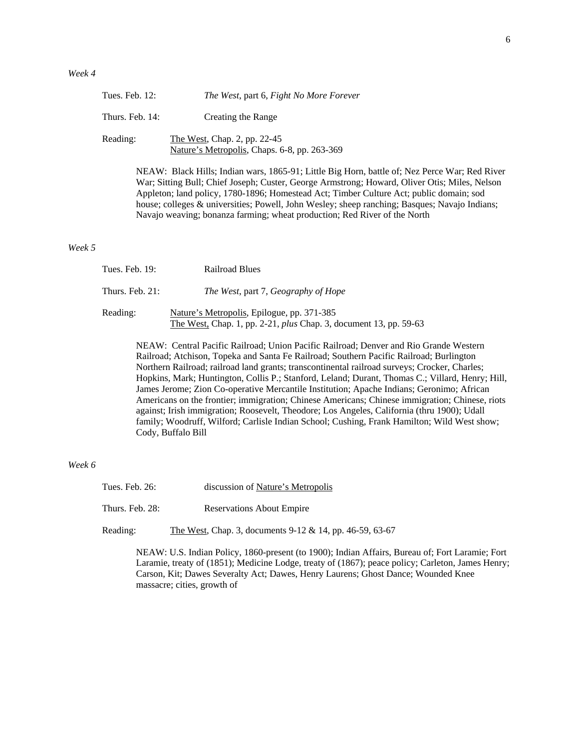| Tues. Feb. 12:  | The West, part 6, Fight No More Forever                                      |
|-----------------|------------------------------------------------------------------------------|
| Thurs. Feb. 14: | Creating the Range                                                           |
| Reading:        | The West, Chap. 2, pp. 22-45<br>Nature's Metropolis, Chaps. 6-8, pp. 263-369 |

NEAW: Black Hills; Indian wars, 1865-91; Little Big Horn, battle of; Nez Perce War; Red River War; Sitting Bull; Chief Joseph; Custer, George Armstrong; Howard, Oliver Otis; Miles, Nelson Appleton; land policy, 1780-1896; Homestead Act; Timber Culture Act; public domain; sod house; colleges & universities; Powell, John Wesley; sheep ranching; Basques; Navajo Indians; Navajo weaving; bonanza farming; wheat production; Red River of the North

*Week 5* 

| Tues. Feb. 19:     | <b>Railroad Blues</b>                                                                                                  |
|--------------------|------------------------------------------------------------------------------------------------------------------------|
| Thurs. Feb. $21$ : | The West, part 7, Geography of Hope                                                                                    |
| Reading:           | Nature's Metropolis, Epilogue, pp. 371-385<br>The West, Chap. 1, pp. 2-21, <i>plus</i> Chap. 3, document 13, pp. 59-63 |

NEAW: Central Pacific Railroad; Union Pacific Railroad; Denver and Rio Grande Western Railroad; Atchison, Topeka and Santa Fe Railroad; Southern Pacific Railroad; Burlington Northern Railroad; railroad land grants; transcontinental railroad surveys; Crocker, Charles; Hopkins, Mark; Huntington, Collis P.; Stanford, Leland; Durant, Thomas C.; Villard, Henry; Hill, James Jerome; Zion Co-operative Mercantile Institution; Apache Indians; Geronimo; African Americans on the frontier; immigration; Chinese Americans; Chinese immigration; Chinese, riots against; Irish immigration; Roosevelt, Theodore; Los Angeles, California (thru 1900); Udall family; Woodruff, Wilford; Carlisle Indian School; Cushing, Frank Hamilton; Wild West show; Cody, Buffalo Bill

## *Week 6*

| Tues. Feb. 26:  | discussion of Nature's Metropolis |
|-----------------|-----------------------------------|
| Thurs. Feb. 28: | <b>Reservations About Empire</b>  |

Reading: The West, Chap. 3, documents 9-12 & 14, pp. 46-59, 63-67

NEAW: U.S. Indian Policy, 1860-present (to 1900); Indian Affairs, Bureau of; Fort Laramie; Fort Laramie, treaty of (1851); Medicine Lodge, treaty of (1867); peace policy; Carleton, James Henry; Carson, Kit; Dawes Severalty Act; Dawes, Henry Laurens; Ghost Dance; Wounded Knee massacre; cities, growth of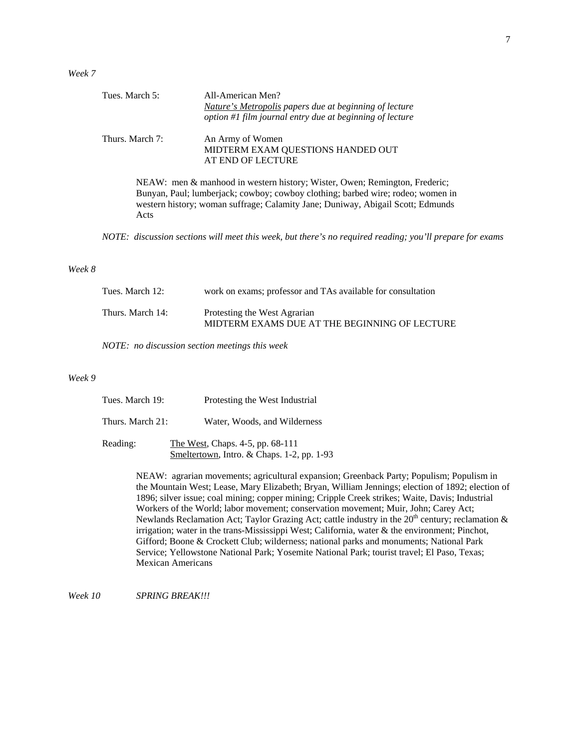*Week 7* 

| Tues. March 5:  | All-American Men?<br>Nature's Metropolis papers due at beginning of lecture<br>option #1 film journal entry due at beginning of lecture                       |
|-----------------|---------------------------------------------------------------------------------------------------------------------------------------------------------------|
| Thurs. March 7: | An Army of Women<br>MIDTERM EXAM QUESTIONS HANDED OUT<br>AT END OF LECTURE                                                                                    |
|                 | NEAW: men & manhood in western history; Wister, Owen; Remington, Frederic;<br>Bunyan, Paul; lumberjack; cowboy; cowboy clothing; barbed wire; rodeo; women in |

*NOTE: discussion sections will meet this week, but there's no required reading; you'll prepare for exams*

western history; woman suffrage; Calamity Jane; Duniway, Abigail Scott; Edmunds

### *Week 8*

Acts

| Tues. March 12:  | work on exams; professor and TAs available for consultation                   |
|------------------|-------------------------------------------------------------------------------|
| Thurs. March 14: | Protesting the West Agrarian<br>MIDTERM EXAMS DUE AT THE BEGINNING OF LECTURE |

*NOTE: no discussion section meetings this week* 

## *Week 9*

| Tues. March 19:  | Protesting the West Industrial                                                 |
|------------------|--------------------------------------------------------------------------------|
| Thurs. March 21: | Water, Woods, and Wilderness                                                   |
| Reading:         | The West, Chaps. 4-5, pp. 68-111<br>Smeltertown, Intro. & Chaps. 1-2, pp. 1-93 |

NEAW: agrarian movements; agricultural expansion; Greenback Party; Populism; Populism in the Mountain West; Lease, Mary Elizabeth; Bryan, William Jennings; election of 1892; election of 1896; silver issue; coal mining; copper mining; Cripple Creek strikes; Waite, Davis; Industrial Workers of the World; labor movement; conservation movement; Muir, John; Carey Act; Newlands Reclamation Act; Taylor Grazing Act; cattle industry in the  $20<sup>th</sup>$  century; reclamation & irrigation; water in the trans-Mississippi West; California, water & the environment; Pinchot, Gifford; Boone & Crockett Club; wilderness; national parks and monuments; National Park Service; Yellowstone National Park; Yosemite National Park; tourist travel; El Paso, Texas; Mexican Americans

*Week 10 SPRING BREAK!!!*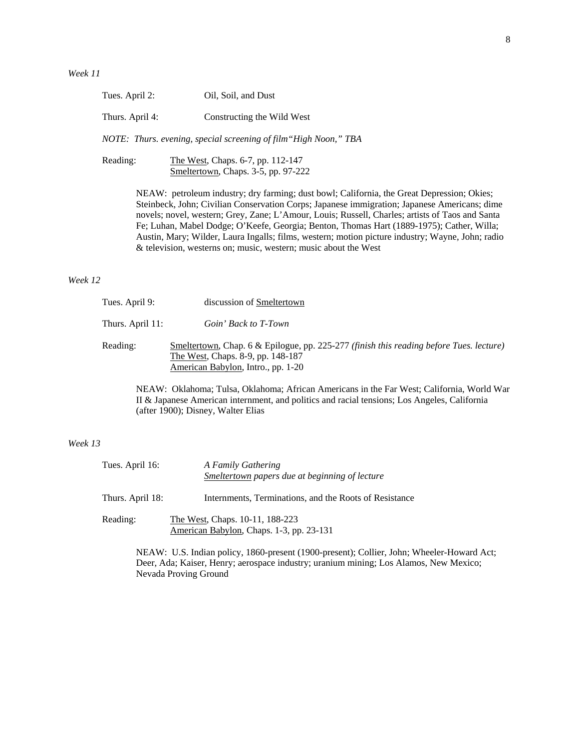| Tues. April 2:<br>Oil, Soil, and Dust |  |
|---------------------------------------|--|
|---------------------------------------|--|

Thurs. April 4: Constructing the Wild West

 *NOTE: Thurs. evening, special screening of film"High Noon," TBA*

Reading: The West, Chaps. 6-7, pp. 112-147 Smeltertown, Chaps. 3-5, pp. 97-222

> NEAW: petroleum industry; dry farming; dust bowl; California, the Great Depression; Okies; Steinbeck, John; Civilian Conservation Corps; Japanese immigration; Japanese Americans; dime novels; novel, western; Grey, Zane; L'Amour, Louis; Russell, Charles; artists of Taos and Santa Fe; Luhan, Mabel Dodge; O'Keefe, Georgia; Benton, Thomas Hart (1889-1975); Cather, Willa; Austin, Mary; Wilder, Laura Ingalls; films, western; motion picture industry; Wayne, John; radio & television, westerns on; music, western; music about the West

# *Week 12*

| Tues. April 9:   | discussion of Smeltertown                                                                                                                                          |
|------------------|--------------------------------------------------------------------------------------------------------------------------------------------------------------------|
| Thurs. April 11: | Goin' Back to T-Town                                                                                                                                               |
| Reading:         | Smeltertown, Chap. 6 & Epilogue, pp. 225-277 (finish this reading before Tues. lecture)<br>The West, Chaps. 8-9, pp. 148-187<br>American Babylon, Intro., pp. 1-20 |

NEAW: Oklahoma; Tulsa, Oklahoma; African Americans in the Far West; California, World War II & Japanese American internment, and politics and racial tensions; Los Angeles, California (after 1900); Disney, Walter Elias

# *Week 13*

| Tues. April 16:  | A Family Gathering<br>Smeltertown papers due at beginning of lecture        |
|------------------|-----------------------------------------------------------------------------|
| Thurs. April 18: | Internments, Terminations, and the Roots of Resistance                      |
| Reading:         | The West, Chaps. 10-11, 188-223<br>American Babylon, Chaps. 1-3, pp. 23-131 |

NEAW: U.S. Indian policy, 1860-present (1900-present); Collier, John; Wheeler-Howard Act; Deer, Ada; Kaiser, Henry; aerospace industry; uranium mining; Los Alamos, New Mexico; Nevada Proving Ground